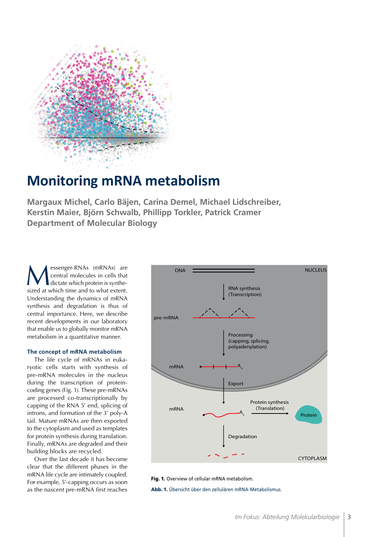

# **Monitoring mRNA metabolism**

**Margaux Michel, Carlo Bäjen, Carina Demel, Michael Lidschreiber, Kerstin Maier, Björn Schwalb, Phillipp Torkler, Patrick Cramer Department of Molecular Biology**

Super-RNAs (mRNAs) are<br>
dictate which protein is synthesized at which time and to what extent central molecules in cells that dictate which protein is synthesized at which time and to what extent. Understanding the dynamics of mRNA synthesis and degradation is thus of central importance. Here, we describe recent developments in our laboratory that enable us to globally monitor mRNA metabolism in a quantitative manner.

# **The concept of mRNA metabolism**

The life cycle of mRNAs in eukaryotic cells starts with synthesis of pre-mRNA molecules in the nucleus during the transcription of proteincoding genes (Fig. 1). These pre-mRNAs are processed co-transcriptionally by capping of the RNA 5' end, splicing of introns, and formation of the 3' poly-A tail. Mature mRNAs are then exported to the cytoplasm and used as templates for protein synthesis during translation. Finally, mRNAs are degraded and their building blocks are recycled.

Over the last decade it has become clear that the different phases in the mRNA life cycle are intimately coupled. For example, 5'-capping occurs as soon as the nascent pre-mRNA first reaches



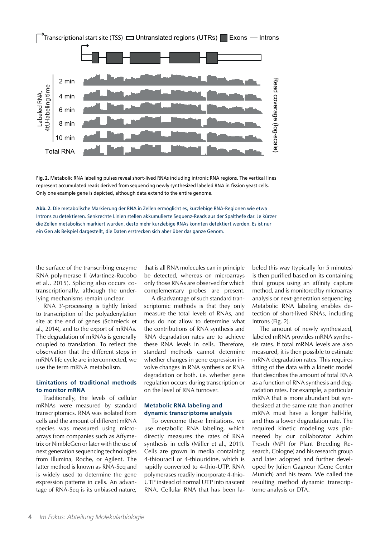

**Fig. 2.** Metabolic RNA labeling pulses reveal short-lived RNAs including intronic RNA regions. The vertical lines represent accumulated reads derived from sequencing newly synthesized labeled RNA in fission yeast cells. Only one example gene is depicted, although data extend to the entire genome.

**Abb. 2.** Die metabolische Markierung der RNA in Zellen ermöglicht es, kurzlebige RNA-Regionen wie etwa Introns zu detektieren. Senkrechte Linien stellen akkumulierte Sequenz-Reads aus der Spalthefe dar. Je kürzer die Zellen metabolisch markiert wurden, desto mehr kurzlebige RNAs konnten detektiert werden. Es ist nur ein Gen als Beispiel dargestellt, die Daten erstrecken sich aber über das ganze Genom.

the surface of the transcribing enzyme RNA polymerase II (Martinez-Rucobo et al., 2015). Splicing also occurs cotranscriptionally, although the underlying mechanisms remain unclear.

RNA 3'-processing is tightly linked to transcription of the polyadenylation site at the end of genes (Schreieck et al., 2014), and to the export of mRNAs. The degradation of mRNAs is generally coupled to translation. To reflect the observation that the different steps in mRNA life cycle are interconnected, we use the term mRNA metabolism.

# **Limitations of traditional methods to monitor mRNA**

Traditionally, the levels of cellular mRNAs were measured by standard transcriptomics. RNA was isolated from cells and the amount of different mRNA species was measured using microarrays from companies such as Affymetrix or NimbleGen or later with the use of next generation sequencing technologies from Illumina, Roche, or Agilent. The latter method is known as RNA-Seq and is widely used to determine the gene expression patterns in cells. An advantage of RNA-Seq is its unbiased nature,

that is all RNA molecules can in principle be detected, whereas on microarrays only those RNAs are observed for which complementary probes are present.

A disadvantage of such standard transcriptomic methods is that they only measure the total levels of RNAs, and thus do not allow to determine what the contributions of RNA synthesis and RNA degradation rates are to achieve these RNA levels in cells. Therefore, standard methods cannot determine whether changes in gene expression involve changes in RNA synthesis or RNA degradation or both, i.e. whether gene regulation occurs during transcription or on the level of RNA turnover.

### **Metabolic RNA labeling and dynamic transcriptome analysis**

To overcome these limitations, we use metabolic RNA labeling, which directly measures the rates of RNA synthesis in cells (Miller et al., 2011). Cells are grown in media containing 4-thiouracil or 4-thiouridine, which is rapidly converted to 4-thio-UTP. RNA polymerases readily incorporate 4-thio-UTP instead of normal UTP into nascent RNA. Cellular RNA that has been labeled this way (typically for 5 minutes) is then purified based on its containing thiol groups using an affinity capture method, and is monitored by microarray analysis or next-generation sequencing. Metabolic RNA labeling enables detection of short-lived RNAs, including introns (Fig. 2).

The amount of newly synthesized, labeled mRNA provides mRNA synthesis rates. If total mRNA levels are also measured, it is then possible to estimate mRNA degradation rates. This requires fitting of the data with a kinetic model that describes the amount of total RNA as a function of RNA synthesis and degradation rates. For example, a particular mRNA that is more abundant but synthesized at the same rate than another mRNA must have a longer half-life, and thus a lower degradation rate. The required kinetic modeling was pioneered by our collaborator Achim Tresch (MPI for Plant Breeding Research, Cologne) and his research group and later adopted and further developed by Julien Gagneur (Gene Center Munich) and his team. We called the resulting method dynamic transcriptome analysis or DTA.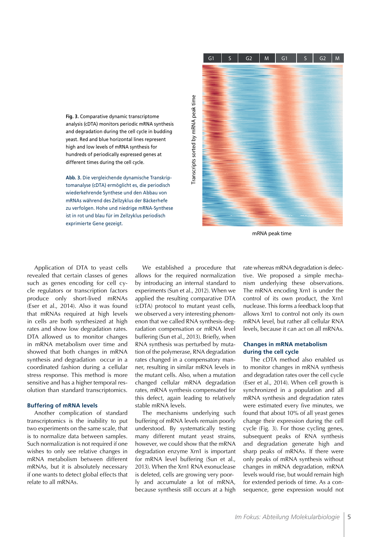**Fig. 3.** Comparative dynamic transcriptome analysis (cDTA) monitors periodic mRNA synthesis and degradation during the cell cycle in budding yeast. Red and blue horizontal lines represent high and low levels of mRNA synthesis for hundreds of periodically expressed genes at different times during the cell cycle.

**Abb. 3.** Die vergleichende dynamische Transkriptomanalyse (cDTA) ermöglicht es, die periodisch wiederkehrende Synthese und den Abbau von mRNAs während des Zellzyklus der Bäckerhefe zu verfolgen. Hohe und niedrige mRNA-Synthese ist in rot und blau für im Zellzyklus periodisch exprimierte Gene gezeigt.



mRNA peak time

Application of DTA to yeast cells revealed that certain classes of genes such as genes encoding for cell cycle regulators or transcription factors produce only short-lived mRNAs (Eser et al., 2014). Also it was found that mRNAs required at high levels in cells are both synthesized at high rates and show low degradation rates. DTA allowed us to monitor changes in mRNA metabolism over time and showed that both changes in mRNA synthesis and degradation occur in a coordinated fashion during a cellular stress response. This method is more sensitive and has a higher temporal resolution than standard transcriptomics.

#### **Buffering of mRNA levels**

Another complication of standard transcriptomics is the inability to put two experiments on the same scale, that is to normalize data between samples. Such normalization is not required if one wishes to only see relative changes in mRNA metabolism between different mRNAs, but it is absolutely necessary if one wants to detect global effects that relate to all mRNAs.

We established a procedure that allows for the required normalization by introducing an internal standard to experiments (Sun et al., 2012). When we applied the resulting comparative DTA (cDTA) protocol to mutant yeast cells, we observed a very interesting phenomenon that we called RNA synthesis-degradation compensation or mRNA level buffering (Sun et al., 2013). Briefly, when RNA synthesis was perturbed by mutation of the polymerase, RNA degradation rates changed in a compensatory manner, resulting in similar mRNA levels in the mutant cells. Also, when a mutation changed cellular mRNA degradation rates, mRNA synthesis compensated for this defect, again leading to relatively stable mRNA levels.

The mechanisms underlying such buffering of mRNA levels remain poorly understood. By systematically testing many different mutant yeast strains, however, we could show that the mRNA degradation enzyme Xrn1 is important for mRNA level buffering (Sun et al., 2013). When the Xrn1 RNA exonuclease is deleted, cells are growing very poorly and accumulate a lot of mRNA, because synthesis still occurs at a high

rate whereas mRNA degradation is defective. We proposed a simple mechanism underlying these observations. The mRNA encoding Xrn1 is under the control of its own product, the Xrn1 nuclease. This forms a feedback loop that allows Xrn1 to control not only its own mRNA level, but rather all cellular RNA levels, because it can act on all mRNAs.

# **Changes in mRNA metabolism during the cell cycle**

The cDTA method also enabled us to monitor changes in mRNA synthesis and degradation rates over the cell cycle (Eser et al., 2014). When cell growth is synchronized in a population and all mRNA synthesis and degradation rates were estimated every five minutes, we found that about 10% of all yeast genes change their expression during the cell cycle (Fig. 3). For those cycling genes, subsequent peaks of RNA synthesis and degradation generate high and sharp peaks of mRNAs. If there were only peaks of mRNA synthesis without changes in mRNA degradation, mRNA levels would rise, but would remain high for extended periods of time. As a consequence, gene expression would not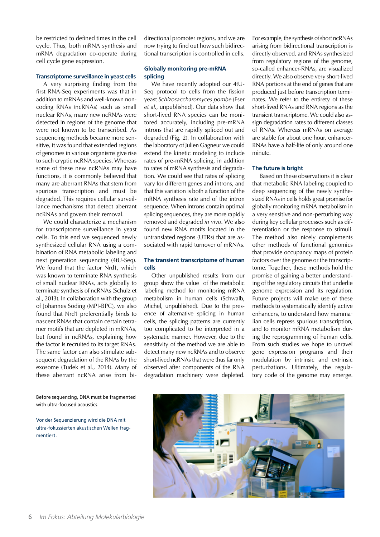be restricted to defined times in the cell cycle. Thus, both mRNA synthesis and mRNA degradation co-operate during cell cycle gene expression.

#### **Transcriptome surveillance in yeast cells**

A very surprising finding from the first RNA-Seq experiments was that in addition to mRNAs and well-known noncoding RNAs (ncRNAs) such as small nuclear RNAs, many new ncRNAs were detected in regions of the genome that were not known to be transcribed. As sequencing methods became more sensitive, it was found that extended regions of genomes in various organisms give rise to such cryptic ncRNA species. Whereas some of these new ncRNAs may have functions, it is commonly believed that many are aberrant RNAs that stem from spurious transcription and must be degraded. This requires cellular surveillance mechanisms that detect aberrant ncRNAs and govern their removal.

We could characterize a mechanism for transcriptome surveillance in yeast cells. To this end we sequenced newly synthesized cellular RNA using a combination of RNA metabolic labeling and next generation sequencing (4tU-Seq). We found that the factor Nrd1, which was known to terminate RNA synthesis of small nuclear RNAs, acts globally to terminate synthesis of ncRNAs (Schulz et al., 2013). In collaboration with the group of Johannes Söding (MPI-BPC), we also found that Nrd1 preferentially binds to nascent RNAs that contain certain tetramer motifs that are depleted in mRNAs, but found in ncRNAs, explaining how the factor is recruited to its target RNAs. The same factor can also stimulate subsequent degradation of the RNAs by the exosome (Tudek et al., 2014). Many of these aberrant ncRNA arise from bi-

Before sequencing, DNA must be fragmented with ultra-focused acoustics.

Vor der Sequenzierung wird die DNA mit ultra-fokussierten akustischen Wellen fragmentiert.

directional promoter regions, and we are now trying to find out how such bidirectional transcription is controlled in cells.

#### **Globally monitoring pre-mRNA splicing**

We have recently adopted our 4tU-Seq protocol to cells from the fission yeast *Schizosaccharomyces pombe* (Eser *et al*., unpublished). Our data show that short-lived RNA species can be monitored accurately, including pre-mRNA introns that are rapidly spliced out and degraded (Fig. 2). In collaboration with the laboratory of Julien Gagneur we could extend the kinetic modeling to include rates of pre-mRNA splicing, in addition to rates of mRNA synthesis and degradation. We could see that rates of splicing vary for different genes and introns, and that this variation is both a function of the mRNA synthesis rate and of the intron sequence. When introns contain optimal splicing sequences, they are more rapidly removed and degraded *in vivo*. We also found new RNA motifs located in the untranslated regions (UTRs) that are associated with rapid turnover of mRNAs.

# **The transient transcriptome of human cells**

Other unpublished results from our group show the value of the metabolic labeling method for monitoring mRNA metabolism in human cells (Schwalb, Michel, unpublished). Due to the presence of alternative splicing in human cells, the splicing patterns are currently too complicated to be interpreted in a systematic manner. However, due to the sensitivity of the method we are able to detect many new ncRNAs and to observe short-lived ncRNAs that were thus far only observed after components of the RNA degradation machinery were depleted. For example, the synthesis of short ncRNAs arising from bidirectional transcription is directly observed, and RNAs synthesized from regulatory regions of the genome, so-called enhancer-RNAs, are visualized directly. We also observe very short-lived RNA portions at the end of genes that are produced just before transcription terminates. We refer to the entirety of these short-lived RNAs and RNA regions as the transient transcriptome. We could also assign degradation rates to different classes of RNAs. Whereas mRNAs on average are stable for about one hour, enhancer-RNAs have a half-life of only around one minute.

#### **The future is bright**

Based on these observations it is clear that metabolic RNA labeling coupled to deep sequencing of the newly synthesized RNAs in cells holds great promise for globally monitoring mRNA metabolism in a very sensitive and non-perturbing way during key cellular processes such as differentiation or the response to stimuli. The method also nicely complements other methods of functional genomics that provide occupancy maps of protein factors over the genome or the transcriptome. Together, these methods hold the promise of gaining a better understanding of the regulatory circuits that underlie genome expression and its regulation. Future projects will make use of these methods to systematically identify active enhancers, to understand how mammalian cells repress spurious transcription, and to monitor mRNA metabolism during the reprogramming of human cells. From such studies we hope to unravel gene expression programs and their modulation by intrinsic and extrinsic perturbations. Ultimately, the regulatory code of the genome may emerge.